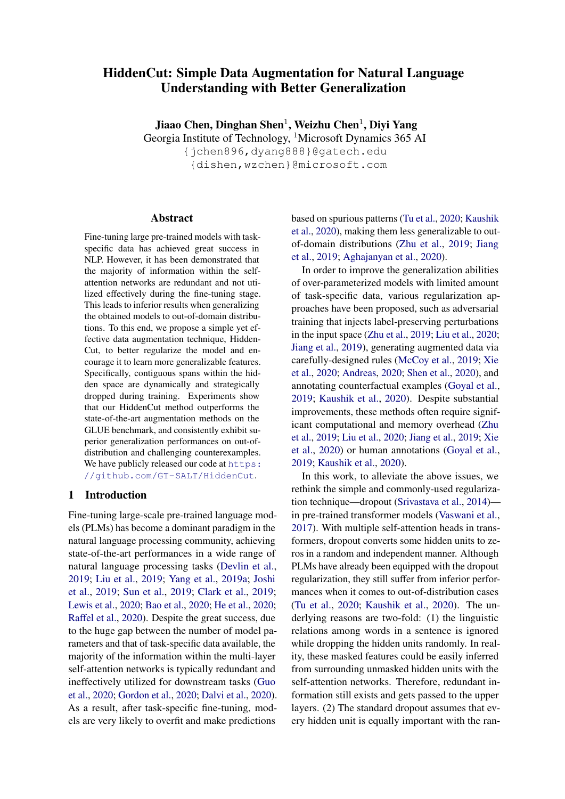# HiddenCut: Simple Data Augmentation for Natural Language Understanding with Better Generalization

Jiaao Chen, Dinghan Shen $^1$ , Weizhu Chen $^1$ , Diyi Yang

Georgia Institute of Technology, <sup>1</sup>Microsoft Dynamics 365 AI

{jchen896,dyang888}@gatech.edu {dishen,wzchen}@microsoft.com

#### Abstract

Fine-tuning large pre-trained models with taskspecific data has achieved great success in NLP. However, it has been demonstrated that the majority of information within the selfattention networks are redundant and not utilized effectively during the fine-tuning stage. This leads to inferior results when generalizing the obtained models to out-of-domain distributions. To this end, we propose a simple yet effective data augmentation technique, Hidden-Cut, to better regularize the model and encourage it to learn more generalizable features. Specifically, contiguous spans within the hidden space are dynamically and strategically dropped during training. Experiments show that our HiddenCut method outperforms the state-of-the-art augmentation methods on the GLUE benchmark, and consistently exhibit superior generalization performances on out-ofdistribution and challenging counterexamples. We have publicly released our code at [https:](https://github.com/GT-SALT/HiddenCut) [//github.com/GT-SALT/HiddenCut](https://github.com/GT-SALT/HiddenCut).

## 1 Introduction

Fine-tuning large-scale pre-trained language models (PLMs) has become a dominant paradigm in the natural language processing community, achieving state-of-the-art performances in a wide range of natural language processing tasks [\(Devlin et al.,](#page-8-0) [2019;](#page-8-0) [Liu et al.,](#page-9-0) [2019;](#page-9-0) [Yang et al.,](#page-10-0) [2019a;](#page-10-0) [Joshi](#page-9-1) [et al.,](#page-9-1) [2019;](#page-9-1) [Sun et al.,](#page-10-1) [2019;](#page-10-1) [Clark et al.,](#page-8-1) [2019;](#page-8-1) [Lewis et al.,](#page-9-2) [2020;](#page-9-2) [Bao et al.,](#page-8-2) [2020;](#page-8-2) [He et al.,](#page-9-3) [2020;](#page-9-3) [Raffel et al.,](#page-9-4) [2020\)](#page-9-4). Despite the great success, due to the huge gap between the number of model parameters and that of task-specific data available, the majority of the information within the multi-layer self-attention networks is typically redundant and ineffectively utilized for downstream tasks [\(Guo](#page-8-3) [et al.,](#page-8-3) [2020;](#page-8-3) [Gordon et al.,](#page-8-4) [2020;](#page-8-4) [Dalvi et al.,](#page-8-5) [2020\)](#page-8-5). As a result, after task-specific fine-tuning, models are very likely to overfit and make predictions

based on spurious patterns [\(Tu et al.,](#page-10-2) [2020;](#page-10-2) [Kaushik](#page-9-5) [et al.,](#page-9-5) [2020\)](#page-9-5), making them less generalizable to outof-domain distributions [\(Zhu et al.,](#page-10-3) [2019;](#page-10-3) [Jiang](#page-9-6) [et al.,](#page-9-6) [2019;](#page-9-6) [Aghajanyan et al.,](#page-8-6) [2020\)](#page-8-6).

In order to improve the generalization abilities of over-parameterized models with limited amount of task-specific data, various regularization approaches have been proposed, such as adversarial training that injects label-preserving perturbations in the input space [\(Zhu et al.,](#page-10-3) [2019;](#page-10-3) [Liu et al.,](#page-9-7) [2020;](#page-9-7) [Jiang et al.,](#page-9-6) [2019\)](#page-9-6), generating augmented data via carefully-designed rules [\(McCoy et al.,](#page-9-8) [2019;](#page-9-8) [Xie](#page-10-4) [et al.,](#page-10-4) [2020;](#page-10-4) [Andreas,](#page-8-7) [2020;](#page-8-7) [Shen et al.,](#page-10-5) [2020\)](#page-10-5), and annotating counterfactual examples [\(Goyal et al.,](#page-8-8) [2019;](#page-8-8) [Kaushik et al.,](#page-9-5) [2020\)](#page-9-5). Despite substantial improvements, these methods often require significant computational and memory overhead [\(Zhu](#page-10-3) [et al.,](#page-10-3) [2019;](#page-10-3) [Liu et al.,](#page-9-7) [2020;](#page-9-7) [Jiang et al.,](#page-9-6) [2019;](#page-9-6) [Xie](#page-10-4) [et al.,](#page-10-4) [2020\)](#page-10-4) or human annotations [\(Goyal et al.,](#page-8-8) [2019;](#page-8-8) [Kaushik et al.,](#page-9-5) [2020\)](#page-9-5).

In this work, to alleviate the above issues, we rethink the simple and commonly-used regularization technique—dropout [\(Srivastava et al.,](#page-10-6) [2014\)](#page-10-6) in pre-trained transformer models [\(Vaswani et al.,](#page-10-7) [2017\)](#page-10-7). With multiple self-attention heads in transformers, dropout converts some hidden units to zeros in a random and independent manner. Although PLMs have already been equipped with the dropout regularization, they still suffer from inferior performances when it comes to out-of-distribution cases [\(Tu et al.,](#page-10-2) [2020;](#page-10-2) [Kaushik et al.,](#page-9-5) [2020\)](#page-9-5). The underlying reasons are two-fold: (1) the linguistic relations among words in a sentence is ignored while dropping the hidden units randomly. In reality, these masked features could be easily inferred from surrounding unmasked hidden units with the self-attention networks. Therefore, redundant information still exists and gets passed to the upper layers. (2) The standard dropout assumes that every hidden unit is equally important with the ran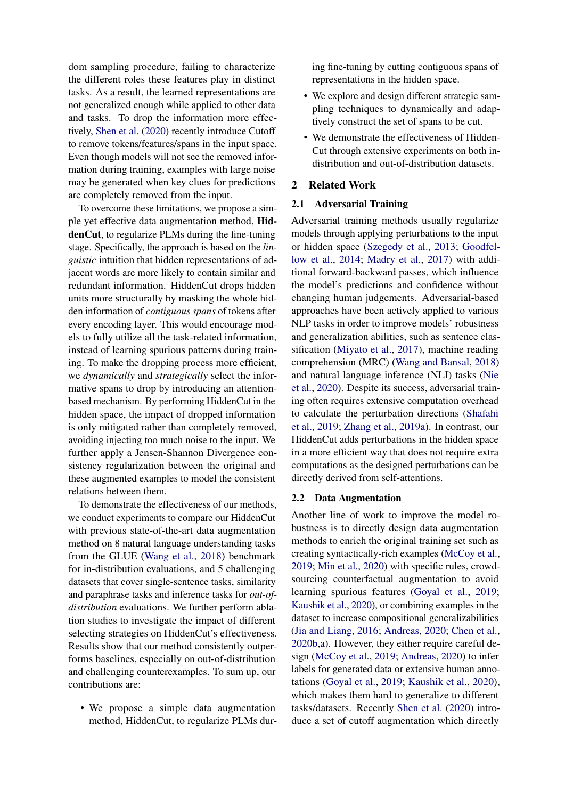dom sampling procedure, failing to characterize the different roles these features play in distinct tasks. As a result, the learned representations are not generalized enough while applied to other data and tasks. To drop the information more effectively, [Shen et al.](#page-10-5) [\(2020\)](#page-10-5) recently introduce Cutoff to remove tokens/features/spans in the input space. Even though models will not see the removed information during training, examples with large noise may be generated when key clues for predictions are completely removed from the input.

To overcome these limitations, we propose a simple yet effective data augmentation method, HiddenCut, to regularize PLMs during the fine-tuning stage. Specifically, the approach is based on the *linguistic* intuition that hidden representations of adjacent words are more likely to contain similar and redundant information. HiddenCut drops hidden units more structurally by masking the whole hidden information of *contiguous spans* of tokens after every encoding layer. This would encourage models to fully utilize all the task-related information, instead of learning spurious patterns during training. To make the dropping process more efficient, we *dynamically* and *strategically* select the informative spans to drop by introducing an attentionbased mechanism. By performing HiddenCut in the hidden space, the impact of dropped information is only mitigated rather than completely removed, avoiding injecting too much noise to the input. We further apply a Jensen-Shannon Divergence consistency regularization between the original and these augmented examples to model the consistent relations between them.

To demonstrate the effectiveness of our methods, we conduct experiments to compare our HiddenCut with previous state-of-the-art data augmentation method on 8 natural language understanding tasks from the GLUE [\(Wang et al.,](#page-10-8) [2018\)](#page-10-8) benchmark for in-distribution evaluations, and 5 challenging datasets that cover single-sentence tasks, similarity and paraphrase tasks and inference tasks for *out-ofdistribution* evaluations. We further perform ablation studies to investigate the impact of different selecting strategies on HiddenCut's effectiveness. Results show that our method consistently outperforms baselines, especially on out-of-distribution and challenging counterexamples. To sum up, our contributions are:

• We propose a simple data augmentation method, HiddenCut, to regularize PLMs during fine-tuning by cutting contiguous spans of representations in the hidden space.

- We explore and design different strategic sampling techniques to dynamically and adaptively construct the set of spans to be cut.
- We demonstrate the effectiveness of Hidden-Cut through extensive experiments on both indistribution and out-of-distribution datasets.

## 2 Related Work

# 2.1 Adversarial Training

Adversarial training methods usually regularize models through applying perturbations to the input or hidden space [\(Szegedy et al.,](#page-10-9) [2013;](#page-10-9) [Goodfel](#page-8-9)[low et al.,](#page-8-9) [2014;](#page-8-9) [Madry et al.,](#page-9-9) [2017\)](#page-9-9) with additional forward-backward passes, which influence the model's predictions and confidence without changing human judgements. Adversarial-based approaches have been actively applied to various NLP tasks in order to improve models' robustness and generalization abilities, such as sentence classification [\(Miyato et al.,](#page-9-10) [2017\)](#page-9-10), machine reading comprehension (MRC) [\(Wang and Bansal,](#page-10-10) [2018\)](#page-10-10) and natural language inference (NLI) tasks [\(Nie](#page-9-11) [et al.,](#page-9-11) [2020\)](#page-9-11). Despite its success, adversarial training often requires extensive computation overhead to calculate the perturbation directions [\(Shafahi](#page-9-12) [et al.,](#page-9-12) [2019;](#page-9-12) [Zhang et al.,](#page-10-11) [2019a\)](#page-10-11). In contrast, our HiddenCut adds perturbations in the hidden space in a more efficient way that does not require extra computations as the designed perturbations can be directly derived from self-attentions.

#### 2.2 Data Augmentation

Another line of work to improve the model robustness is to directly design data augmentation methods to enrich the original training set such as creating syntactically-rich examples [\(McCoy et al.,](#page-9-8) [2019;](#page-9-8) [Min et al.,](#page-9-13) [2020\)](#page-9-13) with specific rules, crowdsourcing counterfactual augmentation to avoid learning spurious features [\(Goyal et al.,](#page-8-8) [2019;](#page-8-8) [Kaushik et al.,](#page-9-5) [2020\)](#page-9-5), or combining examples in the dataset to increase compositional generalizabilities [\(Jia and Liang,](#page-9-14) [2016;](#page-9-14) [Andreas,](#page-8-7) [2020;](#page-8-7) [Chen et al.,](#page-8-10) [2020b,](#page-8-10)[a\)](#page-8-11). However, they either require careful design [\(McCoy et al.,](#page-9-8) [2019;](#page-9-8) [Andreas,](#page-8-7) [2020\)](#page-8-7) to infer labels for generated data or extensive human annotations [\(Goyal et al.,](#page-8-8) [2019;](#page-8-8) [Kaushik et al.,](#page-9-5) [2020\)](#page-9-5), which makes them hard to generalize to different tasks/datasets. Recently [Shen et al.](#page-10-5) [\(2020\)](#page-10-5) introduce a set of cutoff augmentation which directly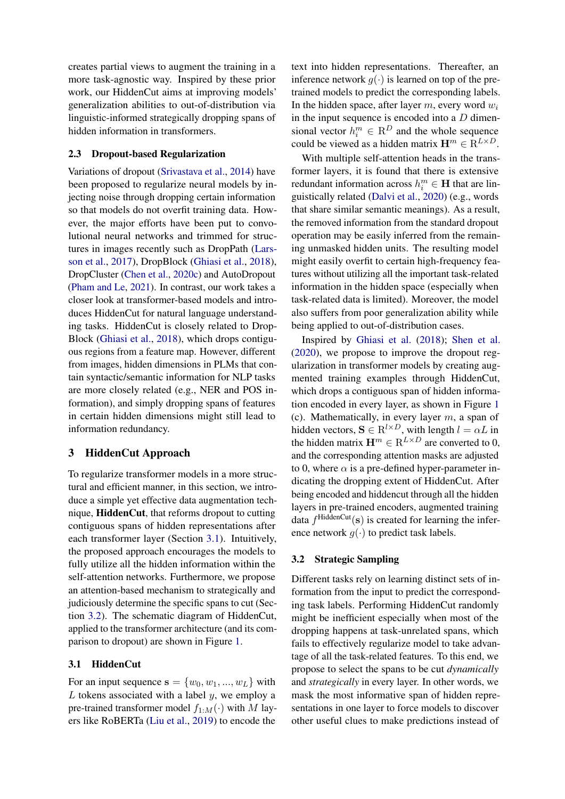creates partial views to augment the training in a more task-agnostic way. Inspired by these prior work, our HiddenCut aims at improving models' generalization abilities to out-of-distribution via linguistic-informed strategically dropping spans of hidden information in transformers.

## 2.3 Dropout-based Regularization

Variations of dropout [\(Srivastava et al.,](#page-10-6) [2014\)](#page-10-6) have been proposed to regularize neural models by injecting noise through dropping certain information so that models do not overfit training data. However, the major efforts have been put to convolutional neural networks and trimmed for structures in images recently such as DropPath [\(Lars](#page-9-15)[son et al.,](#page-9-15) [2017\)](#page-9-15), DropBlock [\(Ghiasi et al.,](#page-8-12) [2018\)](#page-8-12), DropCluster [\(Chen et al.,](#page-8-13) [2020c\)](#page-8-13) and AutoDropout [\(Pham and Le,](#page-9-16) [2021\)](#page-9-16). In contrast, our work takes a closer look at transformer-based models and introduces HiddenCut for natural language understanding tasks. HiddenCut is closely related to Drop-Block [\(Ghiasi et al.,](#page-8-12) [2018\)](#page-8-12), which drops contiguous regions from a feature map. However, different from images, hidden dimensions in PLMs that contain syntactic/semantic information for NLP tasks are more closely related (e.g., NER and POS information), and simply dropping spans of features in certain hidden dimensions might still lead to information redundancy.

## 3 HiddenCut Approach

To regularize transformer models in a more structural and efficient manner, in this section, we introduce a simple yet effective data augmentation technique, HiddenCut, that reforms dropout to cutting contiguous spans of hidden representations after each transformer layer (Section [3.1\)](#page-2-0). Intuitively, the proposed approach encourages the models to fully utilize all the hidden information within the self-attention networks. Furthermore, we propose an attention-based mechanism to strategically and judiciously determine the specific spans to cut (Section [3.2\)](#page-2-1). The schematic diagram of HiddenCut, applied to the transformer architecture (and its comparison to dropout) are shown in Figure [1.](#page-3-0)

## <span id="page-2-0"></span>3.1 HiddenCut

For an input sequence  $s = \{w_0, w_1, ..., w_L\}$  with  $L$  tokens associated with a label  $y$ , we employ a pre-trained transformer model  $f_{1:M}(\cdot)$  with M layers like RoBERTa [\(Liu et al.,](#page-9-0) [2019\)](#page-9-0) to encode the text into hidden representations. Thereafter, an inference network  $q(\cdot)$  is learned on top of the pretrained models to predict the corresponding labels. In the hidden space, after layer  $m$ , every word  $w_i$ in the input sequence is encoded into a  $D$  dimensional vector  $h_i^m \in \mathbb{R}^D$  and the whole sequence could be viewed as a hidden matrix  $\mathbf{H}^m \in \mathbf{R}^{L \times D}$ .

With multiple self-attention heads in the transformer layers, it is found that there is extensive redundant information across  $h_i^m \in H$  that are linguistically related [\(Dalvi et al.,](#page-8-5) [2020\)](#page-8-5) (e.g., words that share similar semantic meanings). As a result, the removed information from the standard dropout operation may be easily inferred from the remaining unmasked hidden units. The resulting model might easily overfit to certain high-frequency features without utilizing all the important task-related information in the hidden space (especially when task-related data is limited). Moreover, the model also suffers from poor generalization ability while being applied to out-of-distribution cases.

Inspired by [Ghiasi et al.](#page-8-12) [\(2018\)](#page-8-12); [Shen et al.](#page-10-5) [\(2020\)](#page-10-5), we propose to improve the dropout regularization in transformer models by creating augmented training examples through HiddenCut, which drops a contiguous span of hidden information encoded in every layer, as shown in Figure [1](#page-3-0) (c). Mathematically, in every layer  $m$ , a span of hidden vectors,  $S \in R^{l \times D}$ , with length  $l = \alpha L$  in the hidden matrix  $\mathbf{H}^m \in \mathbb{R}^{L \times D}$  are converted to 0, and the corresponding attention masks are adjusted to 0, where  $\alpha$  is a pre-defined hyper-parameter indicating the dropping extent of HiddenCut. After being encoded and hiddencut through all the hidden layers in pre-trained encoders, augmented training data  $f^{\text{HiddenCut}}(\mathbf{s})$  is created for learning the inference network  $g(\cdot)$  to predict task labels.

#### <span id="page-2-1"></span>3.2 Strategic Sampling

Different tasks rely on learning distinct sets of information from the input to predict the corresponding task labels. Performing HiddenCut randomly might be inefficient especially when most of the dropping happens at task-unrelated spans, which fails to effectively regularize model to take advantage of all the task-related features. To this end, we propose to select the spans to be cut *dynamically* and *strategically* in every layer. In other words, we mask the most informative span of hidden representations in one layer to force models to discover other useful clues to make predictions instead of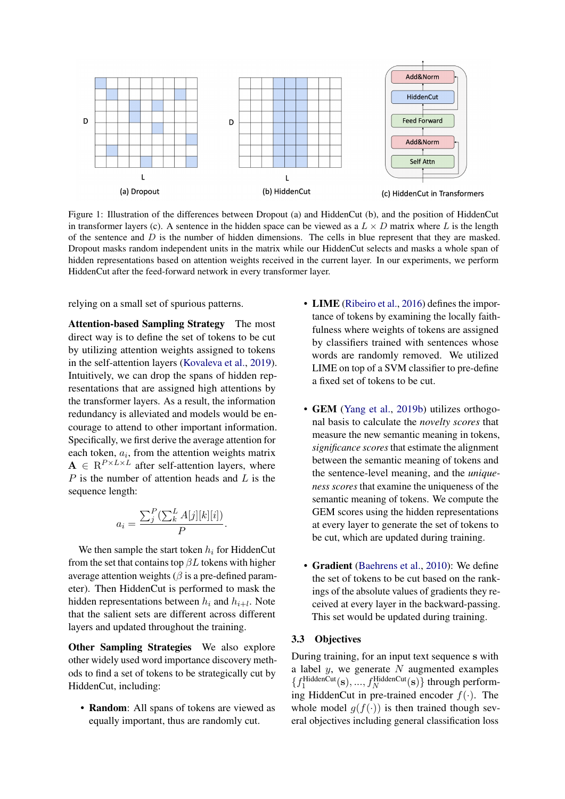<span id="page-3-0"></span>

Figure 1: Illustration of the differences between Dropout (a) and HiddenCut (b), and the position of HiddenCut in transformer layers (c). A sentence in the hidden space can be viewed as a  $L \times D$  matrix where L is the length of the sentence and  $D$  is the number of hidden dimensions. The cells in blue represent that they are masked. Dropout masks random independent units in the matrix while our HiddenCut selects and masks a whole span of hidden representations based on attention weights received in the current layer. In our experiments, we perform HiddenCut after the feed-forward network in every transformer layer.

relying on a small set of spurious patterns.

Attention-based Sampling Strategy The most direct way is to define the set of tokens to be cut by utilizing attention weights assigned to tokens in the self-attention layers [\(Kovaleva et al.,](#page-9-17) [2019\)](#page-9-17). Intuitively, we can drop the spans of hidden representations that are assigned high attentions by the transformer layers. As a result, the information redundancy is alleviated and models would be encourage to attend to other important information. Specifically, we first derive the average attention for each token,  $a_i$ , from the attention weights matrix  $A \in \mathbb{R}^{P \times L \times L}$  after self-attention layers, where  $P$  is the number of attention heads and  $L$  is the sequence length:

$$
a_i = \frac{\sum_j^P (\sum_k^L A[j][k][i])}{P}.
$$

We then sample the start token  $h_i$  for HiddenCut from the set that contains top  $\beta L$  tokens with higher average attention weights ( $\beta$  is a pre-defined parameter). Then HiddenCut is performed to mask the hidden representations between  $h_i$  and  $h_{i+l}$ . Note that the salient sets are different across different layers and updated throughout the training.

Other Sampling Strategies We also explore other widely used word importance discovery methods to find a set of tokens to be strategically cut by HiddenCut, including:

• **Random**: All spans of tokens are viewed as equally important, thus are randomly cut.

- LIME [\(Ribeiro et al.,](#page-9-18) [2016\)](#page-9-18) defines the importance of tokens by examining the locally faithfulness where weights of tokens are assigned by classifiers trained with sentences whose words are randomly removed. We utilized LIME on top of a SVM classifier to pre-define a fixed set of tokens to be cut.
- **GEM** [\(Yang et al.,](#page-10-12) [2019b\)](#page-10-12) utilizes orthogonal basis to calculate the *novelty scores* that measure the new semantic meaning in tokens, *significance scores* that estimate the alignment between the semantic meaning of tokens and the sentence-level meaning, and the *uniqueness scores* that examine the uniqueness of the semantic meaning of tokens. We compute the GEM scores using the hidden representations at every layer to generate the set of tokens to be cut, which are updated during training.
- Gradient [\(Baehrens et al.,](#page-8-14) [2010\)](#page-8-14): We define the set of tokens to be cut based on the rankings of the absolute values of gradients they received at every layer in the backward-passing. This set would be updated during training.

## 3.3 Objectives

During training, for an input text sequence s with a label  $y$ , we generate  $N$  augmented examples  $\{f_1^{\text{HiddenCut}}(\mathbf{s}), ..., f_N^{\text{HiddenCut}}(\mathbf{s})\}$  through performing HiddenCut in pre-trained encoder  $f(\cdot)$ . The whole model  $g(f(\cdot))$  is then trained though several objectives including general classification loss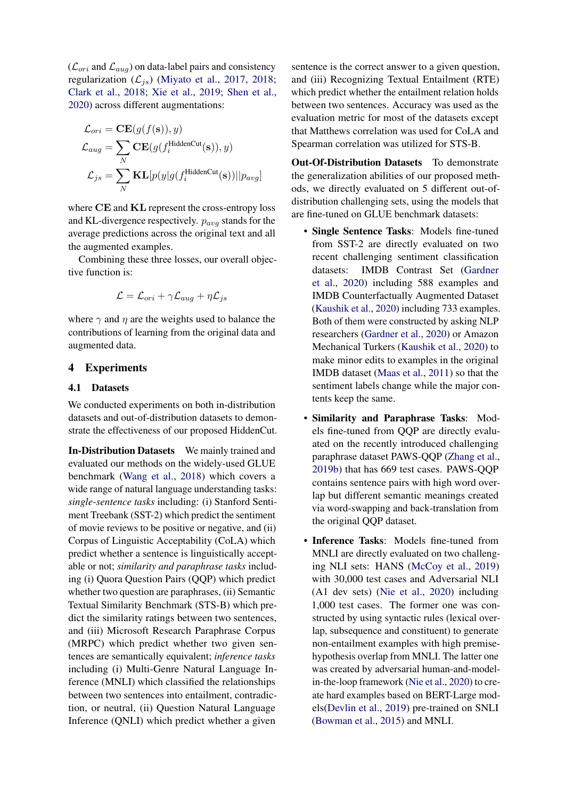$(\mathcal{L}_{ori}$  and  $\mathcal{L}_{aug}$ ) on data-label pairs and consistency regularization  $(\mathcal{L}_{is})$  [\(Miyato et al.,](#page-9-10) [2017,](#page-9-10) [2018;](#page-9-19) [Clark et al.,](#page-8-15) [2018;](#page-8-15) [Xie et al.,](#page-10-13) [2019;](#page-10-13) [Shen et al.,](#page-10-5) [2020\)](#page-10-5) across different augmentations:

$$
\mathcal{L}_{ori} = \mathbf{CE}(g(f(\mathbf{s})), y)
$$

$$
\mathcal{L}_{aug} = \sum_{N} \mathbf{CE}(g(f_i^{\text{HiddenCut}}(\mathbf{s})), y)
$$

$$
\mathcal{L}_{js} = \sum_{N} \mathbf{KL}[p(y|g(f_i^{\text{HiddenCut}}(\mathbf{s}))||p_{avg}]
$$

where CE and KL represent the cross-entropy loss and KL-divergence respectively.  $p_{avg}$  stands for the average predictions across the original text and all the augmented examples.

Combining these three losses, our overall objective function is:

$$
\mathcal{L} = \mathcal{L}_{ori} + \gamma \mathcal{L}_{aug} + \eta \mathcal{L}_{js}
$$

where  $\gamma$  and  $\eta$  are the weights used to balance the contributions of learning from the original data and augmented data.

# 4 Experiments

#### 4.1 Datasets

We conducted experiments on both in-distribution datasets and out-of-distribution datasets to demonstrate the effectiveness of our proposed HiddenCut.

In-Distribution Datasets We mainly trained and evaluated our methods on the widely-used GLUE benchmark [\(Wang et al.,](#page-10-8) [2018\)](#page-10-8) which covers a wide range of natural language understanding tasks: *single-sentence tasks* including: (i) Stanford Sentiment Treebank (SST-2) which predict the sentiment of movie reviews to be positive or negative, and (ii) Corpus of Linguistic Acceptability (CoLA) which predict whether a sentence is linguistically acceptable or not; *similarity and paraphrase tasks* including (i) Quora Question Pairs (QQP) which predict whether two question are paraphrases, (ii) Semantic Textual Similarity Benchmark (STS-B) which predict the similarity ratings between two sentences, and (iii) Microsoft Research Paraphrase Corpus (MRPC) which predict whether two given sentences are semantically equivalent; *inference tasks* including (i) Multi-Genre Natural Language Inference (MNLI) which classified the relationships between two sentences into entailment, contradiction, or neutral, (ii) Question Natural Language Inference (QNLI) which predict whether a given

sentence is the correct answer to a given question, and (iii) Recognizing Textual Entailment (RTE) which predict whether the entailment relation holds between two sentences. Accuracy was used as the evaluation metric for most of the datasets except that Matthews correlation was used for CoLA and Spearman correlation was utilized for STS-B.

Out-Of-Distribution Datasets To demonstrate the generalization abilities of our proposed methods, we directly evaluated on 5 different out-ofdistribution challenging sets, using the models that are fine-tuned on GLUE benchmark datasets:

- Single Sentence Tasks: Models fine-tuned from SST-2 are directly evaluated on two recent challenging sentiment classification datasets: IMDB Contrast Set [\(Gardner](#page-8-16) [et al.,](#page-8-16) [2020\)](#page-8-16) including 588 examples and IMDB Counterfactually Augmented Dataset [\(Kaushik et al.,](#page-9-5) [2020\)](#page-9-5) including 733 examples. Both of them were constructed by asking NLP researchers [\(Gardner et al.,](#page-8-16) [2020\)](#page-8-16) or Amazon Mechanical Turkers [\(Kaushik et al.,](#page-9-5) [2020\)](#page-9-5) to make minor edits to examples in the original IMDB dataset [\(Maas et al.,](#page-9-20) [2011\)](#page-9-20) so that the sentiment labels change while the major contents keep the same.
- Similarity and Paraphrase Tasks: Models fine-tuned from QQP are directly evaluated on the recently introduced challenging paraphrase dataset PAWS-QQP [\(Zhang et al.,](#page-10-14) [2019b\)](#page-10-14) that has 669 test cases. PAWS-QQP contains sentence pairs with high word overlap but different semantic meanings created via word-swapping and back-translation from the original QQP dataset.
- Inference Tasks: Models fine-tuned from MNLI are directly evaluated on two challenging NLI sets: HANS [\(McCoy et al.,](#page-9-8) [2019\)](#page-9-8) with 30,000 test cases and Adversarial NLI (A1 dev sets) [\(Nie et al.,](#page-9-11) [2020\)](#page-9-11) including 1,000 test cases. The former one was constructed by using syntactic rules (lexical overlap, subsequence and constituent) to generate non-entailment examples with high premisehypothesis overlap from MNLI. The latter one was created by adversarial human-and-modelin-the-loop framework [\(Nie et al.,](#page-9-11) [2020\)](#page-9-11) to create hard examples based on BERT-Large models[\(Devlin et al.,](#page-8-0) [2019\)](#page-8-0) pre-trained on SNLI [\(Bowman et al.,](#page-8-17) [2015\)](#page-8-17) and MNLI.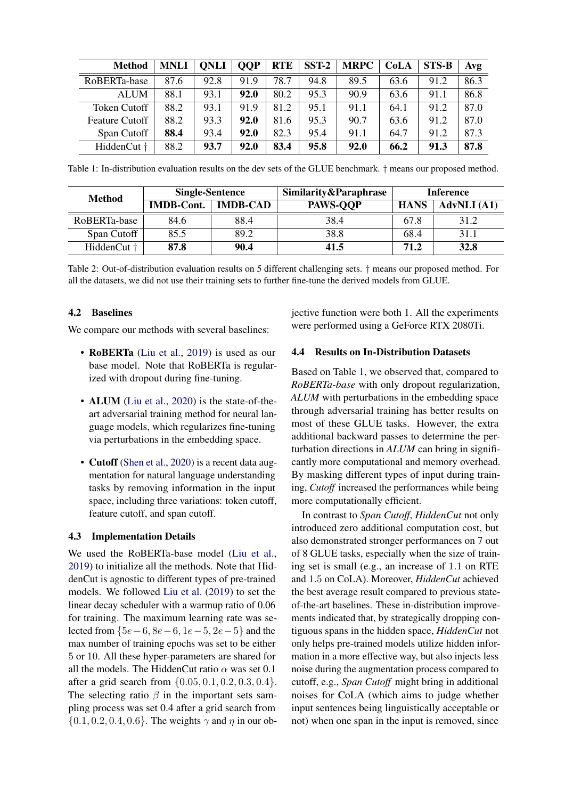<span id="page-5-0"></span>

| <b>Method</b>         | <b>MNLI</b> | <b>ONLI</b> | <b>OOP</b> | <b>RTE</b> | $SST-2$ | <b>MRPC</b> | <b>CoLA</b> | <b>STS-B</b> | Avg  |
|-----------------------|-------------|-------------|------------|------------|---------|-------------|-------------|--------------|------|
| RoBERTa-base          | 87.6        | 92.8        | 91.9       | 78.7       | 94.8    | 89.5        | 63.6        | 91.2         | 86.3 |
| <b>ALUM</b>           | 88.1        | 93.1        | 92.0       | 80.2       | 95.3    | 90.9        | 63.6        | 91.1         | 86.8 |
| Token Cutoff          | 88.2        | 93.1        | 91.9       | 81.2       | 95.1    | 91.1        | 64.1        | 91.2         | 87.0 |
| <b>Feature Cutoff</b> | 88.2        | 93.3        | 92.0       | 81.6       | 95.3    | 90.7        | 63.6        | 91.2         | 87.0 |
| Span Cutoff           | 88.4        | 93.4        | 92.0       | 82.3       | 95.4    | 91.1        | 64.7        | 91.2         | 87.3 |
| HiddenCut †           | 88.2        | 93.7        | 92.0       | 83.4       | 95.8    | 92.0        | 66.2        | 91.3         | 87.8 |

Table 1: In-distribution evaluation results on the dev sets of the GLUE benchmark. † means our proposed method.

<span id="page-5-1"></span>

| <b>Method</b>          | <b>Single-Sentence</b> |                 | Similarity&Paraphrase | Inference   |                    |  |
|------------------------|------------------------|-----------------|-----------------------|-------------|--------------------|--|
|                        | <b>IMDB-Cont.</b>      | <b>IMDB-CAD</b> | <b>PAWS-OOP</b>       | <b>HANS</b> | <b>AdvNLI</b> (A1) |  |
| RoBERTa-base           | 84.6                   | 88.4            | 38.4                  | 67.8        | 31.2               |  |
| Span Cutoff            | 85.5                   | 89.2            | 38.8                  | 68.4        | 31.1               |  |
| HiddenCut <sup>+</sup> | 87.8                   | 90.4            | 41.5                  | 71.2        | 32.8               |  |

Table 2: Out-of-distribution evaluation results on 5 different challenging sets. † means our proposed method. For all the datasets, we did not use their training sets to further fine-tune the derived models from GLUE.

## 4.2 Baselines

We compare our methods with several baselines:

- RoBERTa [\(Liu et al.,](#page-9-0) [2019\)](#page-9-0) is used as our base model. Note that RoBERTa is regularized with dropout during fine-tuning.
- ALUM [\(Liu et al.,](#page-9-7) [2020\)](#page-9-7) is the state-of-theart adversarial training method for neural language models, which regularizes fine-tuning via perturbations in the embedding space.
- Cutoff [\(Shen et al.,](#page-10-5) [2020\)](#page-10-5) is a recent data augmentation for natural language understanding tasks by removing information in the input space, including three variations: token cutoff, feature cutoff, and span cutoff.

## 4.3 Implementation Details

We used the RoBERTa-base model [\(Liu et al.,](#page-9-0) [2019\)](#page-9-0) to initialize all the methods. Note that HiddenCut is agnostic to different types of pre-trained models. We followed [Liu et al.](#page-9-0) [\(2019\)](#page-9-0) to set the linear decay scheduler with a warmup ratio of 0.06 for training. The maximum learning rate was selected from  ${5e-6, 8e-6, 1e-5, 2e-5}$  and the max number of training epochs was set to be either 5 or 10. All these hyper-parameters are shared for all the models. The HiddenCut ratio  $\alpha$  was set 0.1 after a grid search from  $\{0.05, 0.1, 0.2, 0.3, 0.4\}.$ The selecting ratio  $\beta$  in the important sets sampling process was set 0.4 after a grid search from  $\{0.1, 0.2, 0.4, 0.6\}$ . The weights  $\gamma$  and  $\eta$  in our objective function were both 1. All the experiments were performed using a GeForce RTX 2080Ti.

#### 4.4 Results on In-Distribution Datasets

Based on Table [1,](#page-5-0) we observed that, compared to *RoBERTa-base* with only dropout regularization, *ALUM* with perturbations in the embedding space through adversarial training has better results on most of these GLUE tasks. However, the extra additional backward passes to determine the perturbation directions in *ALUM* can bring in significantly more computational and memory overhead. By masking different types of input during training, *Cutoff* increased the performances while being more computationally efficient.

In contrast to *Span Cutoff*, *HiddenCut* not only introduced zero additional computation cost, but also demonstrated stronger performances on 7 out of 8 GLUE tasks, especially when the size of training set is small (e.g., an increase of 1.1 on RTE and 1.5 on CoLA). Moreover, *HiddenCut* achieved the best average result compared to previous stateof-the-art baselines. These in-distribution improvements indicated that, by strategically dropping contiguous spans in the hidden space, *HiddenCut* not only helps pre-trained models utilize hidden information in a more effective way, but also injects less noise during the augmentation process compared to cutoff, e.g., *Span Cutoff* might bring in additional noises for CoLA (which aims to judge whether input sentences being linguistically acceptable or not) when one span in the input is removed, since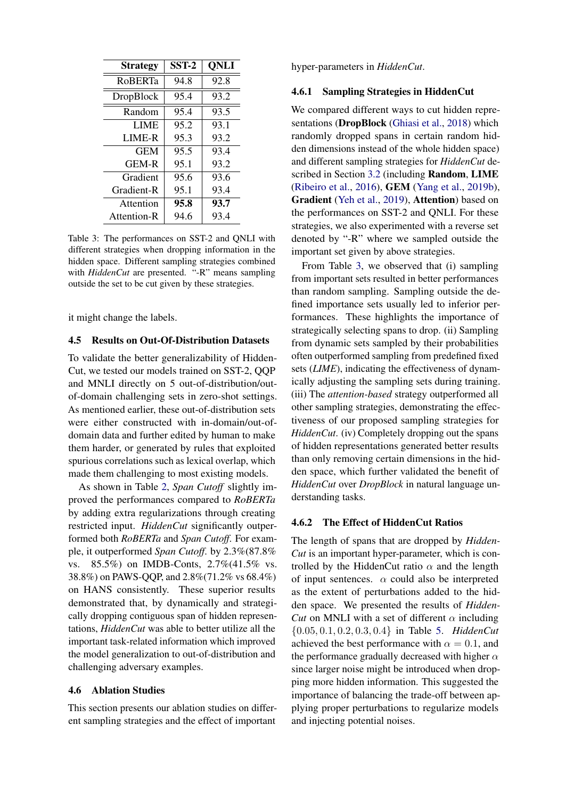<span id="page-6-0"></span>

| <b>Strategy</b> | $SST-2$ | <b>QNLI</b> |
|-----------------|---------|-------------|
| <b>ROBERTa</b>  | 94.8    | 92.8        |
| DropBlock       | 95.4    | 93.2        |
| Random          | 95.4    | 93.5        |
| <b>LIME</b>     | 95.2    | 93.1        |
| LIME-R          | 95.3    | 93.2        |
| GEM             | 95.5    | 93.4        |
| <b>GEM-R</b>    | 95.1    | 93.2        |
| Gradient        | 95.6    | 93.6        |
| Gradient-R      | 95.1    | 93.4        |
| Attention       | 95.8    | 93.7        |
| Attention-R     | 94.6    | 93.4        |

Table 3: The performances on SST-2 and QNLI with different strategies when dropping information in the hidden space. Different sampling strategies combined with *HiddenCut* are presented. "-R" means sampling outside the set to be cut given by these strategies.

it might change the labels.

#### 4.5 Results on Out-Of-Distribution Datasets

To validate the better generalizability of Hidden-Cut, we tested our models trained on SST-2, QQP and MNLI directly on 5 out-of-distribution/outof-domain challenging sets in zero-shot settings. As mentioned earlier, these out-of-distribution sets were either constructed with in-domain/out-ofdomain data and further edited by human to make them harder, or generated by rules that exploited spurious correlations such as lexical overlap, which made them challenging to most existing models.

As shown in Table [2,](#page-5-1) *Span Cutoff* slightly improved the performances compared to *RoBERTa* by adding extra regularizations through creating restricted input. *HiddenCut* significantly outperformed both *RoBERTa* and *Span Cutoff*. For example, it outperformed *Span Cutoff*. by 2.3%(87.8% vs. 85.5%) on IMDB-Conts, 2.7%(41.5% vs. 38.8%) on PAWS-QQP, and 2.8%(71.2% vs 68.4%) on HANS consistently. These superior results demonstrated that, by dynamically and strategically dropping contiguous span of hidden representations, *HiddenCut* was able to better utilize all the important task-related information which improved the model generalization to out-of-distribution and challenging adversary examples.

# 4.6 Ablation Studies

This section presents our ablation studies on different sampling strategies and the effect of important

hyper-parameters in *HiddenCut*.

## 4.6.1 Sampling Strategies in HiddenCut

We compared different ways to cut hidden repre-sentations (DropBlock [\(Ghiasi et al.,](#page-8-12) [2018\)](#page-8-12) which randomly dropped spans in certain random hidden dimensions instead of the whole hidden space) and different sampling strategies for *HiddenCut* described in Section [3.2](#page-2-1) (including Random, LIME [\(Ribeiro et al.,](#page-9-18) [2016\)](#page-9-18), GEM [\(Yang et al.,](#page-10-12) [2019b\)](#page-10-12), Gradient [\(Yeh et al.,](#page-10-15) [2019\)](#page-10-15), Attention) based on the performances on SST-2 and QNLI. For these strategies, we also experimented with a reverse set denoted by "-R" where we sampled outside the important set given by above strategies.

From Table [3,](#page-6-0) we observed that (i) sampling from important sets resulted in better performances than random sampling. Sampling outside the defined importance sets usually led to inferior performances. These highlights the importance of strategically selecting spans to drop. (ii) Sampling from dynamic sets sampled by their probabilities often outperformed sampling from predefined fixed sets (*LIME*), indicating the effectiveness of dynamically adjusting the sampling sets during training. (iii) The *attention-based* strategy outperformed all other sampling strategies, demonstrating the effectiveness of our proposed sampling strategies for *HiddenCut*. (iv) Completely dropping out the spans of hidden representations generated better results than only removing certain dimensions in the hidden space, which further validated the benefit of *HiddenCut* over *DropBlock* in natural language understanding tasks.

## 4.6.2 The Effect of HiddenCut Ratios

The length of spans that are dropped by *Hidden-Cut* is an important hyper-parameter, which is controlled by the HiddenCut ratio  $\alpha$  and the length of input sentences.  $\alpha$  could also be interpreted as the extent of perturbations added to the hidden space. We presented the results of *Hidden-Cut* on MNLI with a set of different  $\alpha$  including {0.05, 0.1, 0.2, 0.3, 0.4} in Table [5.](#page-7-0) *HiddenCut* achieved the best performance with  $\alpha = 0.1$ , and the performance gradually decreased with higher  $\alpha$ since larger noise might be introduced when dropping more hidden information. This suggested the importance of balancing the trade-off between applying proper perturbations to regularize models and injecting potential noises.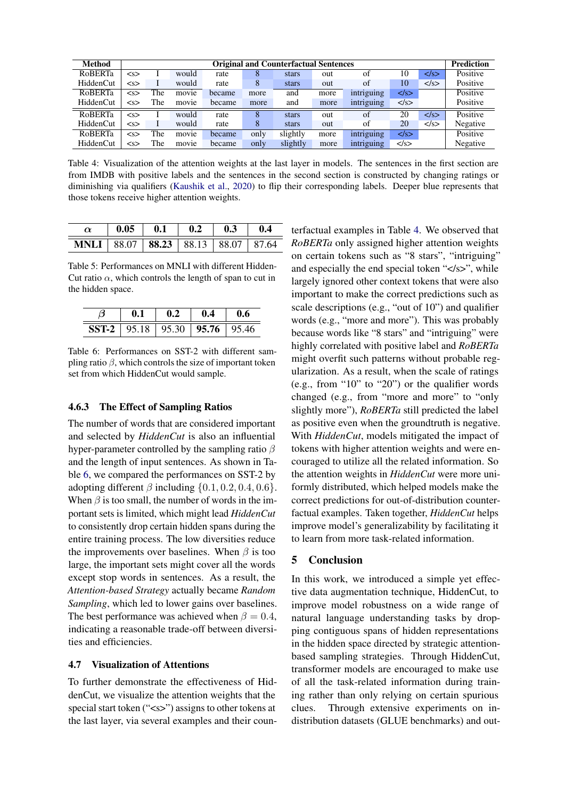<span id="page-7-2"></span>

| Method           | <b>Original and Counterfactual Sentences</b> |     |       |        |      |          |      |            | <b>Prediction</b> |                  |          |
|------------------|----------------------------------------------|-----|-------|--------|------|----------|------|------------|-------------------|------------------|----------|
| <b>RoBERTa</b>   | < s                                          |     | would | rate   | 8    | stars    | out  | of         | 10                | $\langle$ /s $>$ | Positive |
| <b>HiddenCut</b> | < s                                          |     | would | rate   | 8    | stars    | out  | of         | 10                | $\langle$ /s $>$ | Positive |
| <b>RoBERTa</b>   | < s                                          | The | movie | became | more | and      | more | intriguing | $\langle$ /s $>$  |                  | Positive |
| HiddenCut        | < s                                          | The | movie | became | more | and      | more | intriguing | $\langle$ /s $>$  |                  | Positive |
| <b>RoBERTa</b>   | < s                                          |     | would | rate   | 8    | stars    | out  | of         | 20                | $\langle$ /s $>$ | Positive |
| HiddenCut        | < s                                          |     | would | rate   | 8    | stars    | out  | of         | 20                | $\langle$ /s $>$ | Negative |
| <b>RoBERTa</b>   | < s                                          | The | movie | became | only | slightly | more | intriguing | $\langle$ /s $>$  |                  | Positive |
| <b>HiddenCut</b> | < s                                          | The | movie | became | only | slightly | more | intriguing | $\langle$ /s $>$  |                  | Negative |

Table 4: Visualization of the attention weights at the last layer in models. The sentences in the first section are from IMDB with positive labels and the sentences in the second section is constructed by changing ratings or diminishing via qualifiers [\(Kaushik et al.,](#page-9-5) [2020\)](#page-9-5) to flip their corresponding labels. Deeper blue represents that those tokens receive higher attention weights.

<span id="page-7-0"></span>

|                                           | $\begin{array}{ c c c c c c c c c } \hline 0.05 & 0.1 & 0.2 & 0.3 & 0.4 \ \hline \end{array}$ |  |  |
|-------------------------------------------|-----------------------------------------------------------------------------------------------|--|--|
| <b>MNLI</b> 88.07 88.23 88.13 88.07 87.64 |                                                                                               |  |  |

Table 5: Performances on MNLI with different Hidden-Cut ratio  $\alpha$ , which controls the length of span to cut in the hidden space.

<span id="page-7-1"></span>

| 0.1 |                                                     | 0.4 | U.6 |  |
|-----|-----------------------------------------------------|-----|-----|--|
|     | <b>SST-2</b>   95.18   95.30   <b>95.76</b>   95.46 |     |     |  |

Table 6: Performances on SST-2 with different sampling ratio  $\beta$ , which controls the size of important token set from which HiddenCut would sample.

## 4.6.3 The Effect of Sampling Ratios

The number of words that are considered important and selected by *HiddenCut* is also an influential hyper-parameter controlled by the sampling ratio  $\beta$ and the length of input sentences. As shown in Table [6,](#page-7-1) we compared the performances on SST-2 by adopting different  $\beta$  including  $\{0.1, 0.2, 0.4, 0.6\}.$ When  $\beta$  is too small, the number of words in the important sets is limited, which might lead *HiddenCut* to consistently drop certain hidden spans during the entire training process. The low diversities reduce the improvements over baselines. When  $\beta$  is too large, the important sets might cover all the words except stop words in sentences. As a result, the *Attention-based Strategy* actually became *Random Sampling*, which led to lower gains over baselines. The best performance was achieved when  $\beta = 0.4$ , indicating a reasonable trade-off between diversities and efficiencies.

## 4.7 Visualization of Attentions

To further demonstrate the effectiveness of HiddenCut, we visualize the attention weights that the special start token ("<s>") assigns to other tokens at the last layer, via several examples and their counterfactual examples in Table [4.](#page-7-2) We observed that *RoBERTa* only assigned higher attention weights on certain tokens such as "8 stars", "intriguing" and especially the end special token "</s>", while largely ignored other context tokens that were also important to make the correct predictions such as scale descriptions (e.g., "out of 10") and qualifier words (e.g., "more and more"). This was probably because words like "8 stars" and "intriguing" were highly correlated with positive label and *RoBERTa* might overfit such patterns without probable regularization. As a result, when the scale of ratings (e.g., from "10" to "20") or the qualifier words changed (e.g., from "more and more" to "only slightly more"), *RoBERTa* still predicted the label as positive even when the groundtruth is negative. With *HiddenCut*, models mitigated the impact of tokens with higher attention weights and were encouraged to utilize all the related information. So the attention weights in *HiddenCut* were more uniformly distributed, which helped models make the correct predictions for out-of-distribution counterfactual examples. Taken together, *HiddenCut* helps improve model's generalizability by facilitating it to learn from more task-related information.

# 5 Conclusion

In this work, we introduced a simple yet effective data augmentation technique, HiddenCut, to improve model robustness on a wide range of natural language understanding tasks by dropping contiguous spans of hidden representations in the hidden space directed by strategic attentionbased sampling strategies. Through HiddenCut, transformer models are encouraged to make use of all the task-related information during training rather than only relying on certain spurious clues. Through extensive experiments on indistribution datasets (GLUE benchmarks) and out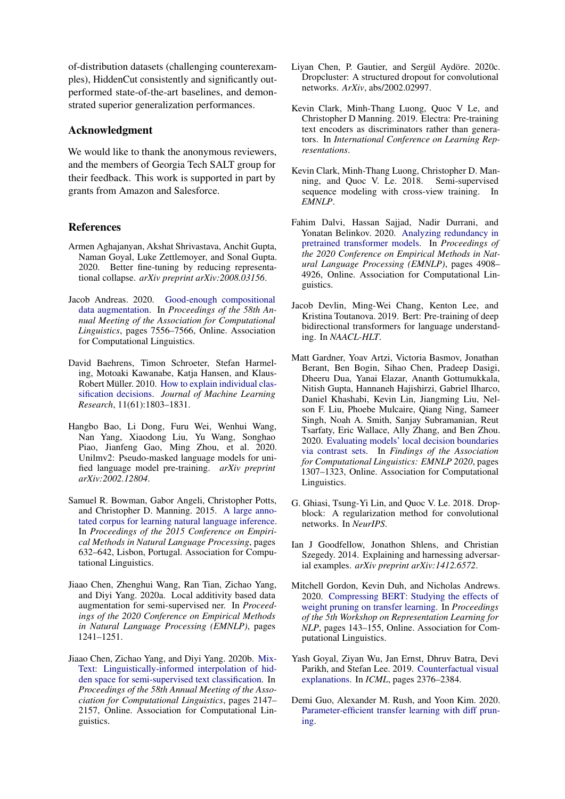of-distribution datasets (challenging counterexamples), HiddenCut consistently and significantly outperformed state-of-the-art baselines, and demonstrated superior generalization performances.

# Acknowledgment

We would like to thank the anonymous reviewers, and the members of Georgia Tech SALT group for their feedback. This work is supported in part by grants from Amazon and Salesforce.

# References

- <span id="page-8-6"></span>Armen Aghajanyan, Akshat Shrivastava, Anchit Gupta, Naman Goyal, Luke Zettlemoyer, and Sonal Gupta. 2020. Better fine-tuning by reducing representational collapse. *arXiv preprint arXiv:2008.03156*.
- <span id="page-8-7"></span>Jacob Andreas. 2020. [Good-enough compositional](https://doi.org/10.18653/v1/2020.acl-main.676) [data augmentation.](https://doi.org/10.18653/v1/2020.acl-main.676) In *Proceedings of the 58th Annual Meeting of the Association for Computational Linguistics*, pages 7556–7566, Online. Association for Computational Linguistics.
- <span id="page-8-14"></span>David Baehrens, Timon Schroeter, Stefan Harmeling, Motoaki Kawanabe, Katja Hansen, and Klaus-Robert Müller. 2010. [How to explain individual clas](http://jmlr.org/papers/v11/baehrens10a.html)[sification decisions.](http://jmlr.org/papers/v11/baehrens10a.html) *Journal of Machine Learning Research*, 11(61):1803–1831.
- <span id="page-8-2"></span>Hangbo Bao, Li Dong, Furu Wei, Wenhui Wang, Nan Yang, Xiaodong Liu, Yu Wang, Songhao Piao, Jianfeng Gao, Ming Zhou, et al. 2020. Unilmv2: Pseudo-masked language models for unified language model pre-training. *arXiv preprint arXiv:2002.12804*.
- <span id="page-8-17"></span>Samuel R. Bowman, Gabor Angeli, Christopher Potts, and Christopher D. Manning. 2015. [A large anno](https://doi.org/10.18653/v1/D15-1075)[tated corpus for learning natural language inference.](https://doi.org/10.18653/v1/D15-1075) In *Proceedings of the 2015 Conference on Empirical Methods in Natural Language Processing*, pages 632–642, Lisbon, Portugal. Association for Computational Linguistics.
- <span id="page-8-11"></span>Jiaao Chen, Zhenghui Wang, Ran Tian, Zichao Yang, and Diyi Yang. 2020a. Local additivity based data augmentation for semi-supervised ner. In *Proceedings of the 2020 Conference on Empirical Methods in Natural Language Processing (EMNLP)*, pages 1241–1251.
- <span id="page-8-10"></span>Jiaao Chen, Zichao Yang, and Diyi Yang. 2020b. [Mix-](https://doi.org/10.18653/v1/2020.acl-main.194)[Text: Linguistically-informed interpolation of hid](https://doi.org/10.18653/v1/2020.acl-main.194)[den space for semi-supervised text classification.](https://doi.org/10.18653/v1/2020.acl-main.194) In *Proceedings of the 58th Annual Meeting of the Association for Computational Linguistics*, pages 2147– 2157, Online. Association for Computational Linguistics.
- <span id="page-8-13"></span>Liyan Chen, P. Gautier, and Sergül Aydöre. 2020c. Dropcluster: A structured dropout for convolutional networks. *ArXiv*, abs/2002.02997.
- <span id="page-8-1"></span>Kevin Clark, Minh-Thang Luong, Quoc V Le, and Christopher D Manning. 2019. Electra: Pre-training text encoders as discriminators rather than generators. In *International Conference on Learning Representations*.
- <span id="page-8-15"></span>Kevin Clark, Minh-Thang Luong, Christopher D. Manning, and Quoc V. Le. 2018. Semi-supervised sequence modeling with cross-view training. In *EMNLP*.
- <span id="page-8-5"></span>Fahim Dalvi, Hassan Sajjad, Nadir Durrani, and Yonatan Belinkov. 2020. [Analyzing redundancy in](https://doi.org/10.18653/v1/2020.emnlp-main.398) [pretrained transformer models.](https://doi.org/10.18653/v1/2020.emnlp-main.398) In *Proceedings of the 2020 Conference on Empirical Methods in Natural Language Processing (EMNLP)*, pages 4908– 4926, Online. Association for Computational Linguistics.
- <span id="page-8-0"></span>Jacob Devlin, Ming-Wei Chang, Kenton Lee, and Kristina Toutanova. 2019. Bert: Pre-training of deep bidirectional transformers for language understanding. In *NAACL-HLT*.
- <span id="page-8-16"></span>Matt Gardner, Yoav Artzi, Victoria Basmov, Jonathan Berant, Ben Bogin, Sihao Chen, Pradeep Dasigi, Dheeru Dua, Yanai Elazar, Ananth Gottumukkala, Nitish Gupta, Hannaneh Hajishirzi, Gabriel Ilharco, Daniel Khashabi, Kevin Lin, Jiangming Liu, Nelson F. Liu, Phoebe Mulcaire, Qiang Ning, Sameer Singh, Noah A. Smith, Sanjay Subramanian, Reut Tsarfaty, Eric Wallace, Ally Zhang, and Ben Zhou. 2020. [Evaluating models' local decision boundaries](https://doi.org/10.18653/v1/2020.findings-emnlp.117) [via contrast sets.](https://doi.org/10.18653/v1/2020.findings-emnlp.117) In *Findings of the Association for Computational Linguistics: EMNLP 2020*, pages 1307–1323, Online. Association for Computational Linguistics.
- <span id="page-8-12"></span>G. Ghiasi, Tsung-Yi Lin, and Quoc V. Le. 2018. Dropblock: A regularization method for convolutional networks. In *NeurIPS*.
- <span id="page-8-9"></span>Ian J Goodfellow, Jonathon Shlens, and Christian Szegedy. 2014. Explaining and harnessing adversarial examples. *arXiv preprint arXiv:1412.6572*.
- <span id="page-8-4"></span>Mitchell Gordon, Kevin Duh, and Nicholas Andrews. 2020. [Compressing BERT: Studying the effects of](https://doi.org/10.18653/v1/2020.repl4nlp-1.18) [weight pruning on transfer learning.](https://doi.org/10.18653/v1/2020.repl4nlp-1.18) In *Proceedings of the 5th Workshop on Representation Learning for NLP*, pages 143–155, Online. Association for Computational Linguistics.
- <span id="page-8-8"></span>Yash Goyal, Ziyan Wu, Jan Ernst, Dhruv Batra, Devi Parikh, and Stefan Lee. 2019. [Counterfactual visual](http://proceedings.mlr.press/v97/goyal19a.html) [explanations.](http://proceedings.mlr.press/v97/goyal19a.html) In *ICML*, pages 2376–2384.
- <span id="page-8-3"></span>Demi Guo, Alexander M. Rush, and Yoon Kim. 2020. [Parameter-efficient transfer learning with diff prun](http://arxiv.org/abs/2012.07463)[ing.](http://arxiv.org/abs/2012.07463)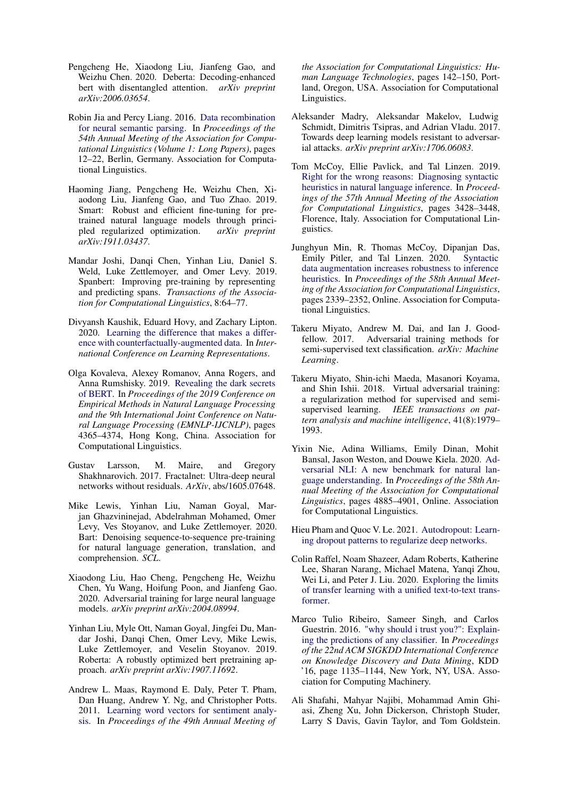- <span id="page-9-3"></span>Pengcheng He, Xiaodong Liu, Jianfeng Gao, and Weizhu Chen. 2020. Deberta: Decoding-enhanced bert with disentangled attention. *arXiv preprint arXiv:2006.03654*.
- <span id="page-9-14"></span>Robin Jia and Percy Liang. 2016. [Data recombination](https://doi.org/10.18653/v1/P16-1002) [for neural semantic parsing.](https://doi.org/10.18653/v1/P16-1002) In *Proceedings of the 54th Annual Meeting of the Association for Computational Linguistics (Volume 1: Long Papers)*, pages 12–22, Berlin, Germany. Association for Computational Linguistics.
- <span id="page-9-6"></span>Haoming Jiang, Pengcheng He, Weizhu Chen, Xiaodong Liu, Jianfeng Gao, and Tuo Zhao. 2019. Smart: Robust and efficient fine-tuning for pretrained natural language models through principled regularized optimization. *arXiv preprint arXiv:1911.03437*.
- <span id="page-9-1"></span>Mandar Joshi, Danqi Chen, Yinhan Liu, Daniel S. Weld, Luke Zettlemoyer, and Omer Levy. 2019. Spanbert: Improving pre-training by representing and predicting spans. *Transactions of the Association for Computational Linguistics*, 8:64–77.
- <span id="page-9-5"></span>Divyansh Kaushik, Eduard Hovy, and Zachary Lipton. 2020. [Learning the difference that makes a differ](https://openreview.net/forum?id=Sklgs0NFvr)[ence with counterfactually-augmented data.](https://openreview.net/forum?id=Sklgs0NFvr) In *International Conference on Learning Representations*.
- <span id="page-9-17"></span>Olga Kovaleva, Alexey Romanov, Anna Rogers, and Anna Rumshisky. 2019. [Revealing the dark secrets](https://doi.org/10.18653/v1/D19-1445) [of BERT.](https://doi.org/10.18653/v1/D19-1445) In *Proceedings of the 2019 Conference on Empirical Methods in Natural Language Processing and the 9th International Joint Conference on Natural Language Processing (EMNLP-IJCNLP)*, pages 4365–4374, Hong Kong, China. Association for Computational Linguistics.
- <span id="page-9-15"></span>Gustav Larsson, M. Maire, and Gregory Shakhnarovich. 2017. Fractalnet: Ultra-deep neural networks without residuals. *ArXiv*, abs/1605.07648.
- <span id="page-9-2"></span>Mike Lewis, Yinhan Liu, Naman Goyal, Marjan Ghazvininejad, Abdelrahman Mohamed, Omer Levy, Ves Stoyanov, and Luke Zettlemoyer. 2020. Bart: Denoising sequence-to-sequence pre-training for natural language generation, translation, and comprehension. *SCL*.
- <span id="page-9-7"></span>Xiaodong Liu, Hao Cheng, Pengcheng He, Weizhu Chen, Yu Wang, Hoifung Poon, and Jianfeng Gao. 2020. Adversarial training for large neural language models. *arXiv preprint arXiv:2004.08994*.
- <span id="page-9-0"></span>Yinhan Liu, Myle Ott, Naman Goyal, Jingfei Du, Mandar Joshi, Danqi Chen, Omer Levy, Mike Lewis, Luke Zettlemoyer, and Veselin Stoyanov. 2019. Roberta: A robustly optimized bert pretraining approach. *arXiv preprint arXiv:1907.11692*.
- <span id="page-9-20"></span>Andrew L. Maas, Raymond E. Daly, Peter T. Pham, Dan Huang, Andrew Y. Ng, and Christopher Potts. 2011. [Learning word vectors for sentiment analy](https://www.aclweb.org/anthology/P11-1015)[sis.](https://www.aclweb.org/anthology/P11-1015) In *Proceedings of the 49th Annual Meeting of*

*the Association for Computational Linguistics: Human Language Technologies*, pages 142–150, Portland, Oregon, USA. Association for Computational Linguistics.

- <span id="page-9-9"></span>Aleksander Madry, Aleksandar Makelov, Ludwig Schmidt, Dimitris Tsipras, and Adrian Vladu. 2017. Towards deep learning models resistant to adversarial attacks. *arXiv preprint arXiv:1706.06083*.
- <span id="page-9-8"></span>Tom McCoy, Ellie Pavlick, and Tal Linzen. 2019. [Right for the wrong reasons: Diagnosing syntactic](https://doi.org/10.18653/v1/P19-1334) [heuristics in natural language inference.](https://doi.org/10.18653/v1/P19-1334) In *Proceedings of the 57th Annual Meeting of the Association for Computational Linguistics*, pages 3428–3448, Florence, Italy. Association for Computational Linguistics.
- <span id="page-9-13"></span>Junghyun Min, R. Thomas McCoy, Dipanjan Das, Emily Pitler, and Tal Linzen. 2020. [Syntactic](https://doi.org/10.18653/v1/2020.acl-main.212) [data augmentation increases robustness to inference](https://doi.org/10.18653/v1/2020.acl-main.212) [heuristics.](https://doi.org/10.18653/v1/2020.acl-main.212) In *Proceedings of the 58th Annual Meeting of the Association for Computational Linguistics*, pages 2339–2352, Online. Association for Computational Linguistics.
- <span id="page-9-10"></span>Takeru Miyato, Andrew M. Dai, and Ian J. Goodfellow. 2017. Adversarial training methods for semi-supervised text classification. *arXiv: Machine Learning*.
- <span id="page-9-19"></span>Takeru Miyato, Shin-ichi Maeda, Masanori Koyama, and Shin Ishii. 2018. Virtual adversarial training: a regularization method for supervised and semisupervised learning. *IEEE transactions on pattern analysis and machine intelligence*, 41(8):1979– 1993.
- <span id="page-9-11"></span>Yixin Nie, Adina Williams, Emily Dinan, Mohit Bansal, Jason Weston, and Douwe Kiela. 2020. [Ad](https://doi.org/10.18653/v1/2020.acl-main.441)[versarial NLI: A new benchmark for natural lan](https://doi.org/10.18653/v1/2020.acl-main.441)[guage understanding.](https://doi.org/10.18653/v1/2020.acl-main.441) In *Proceedings of the 58th Annual Meeting of the Association for Computational Linguistics*, pages 4885–4901, Online. Association for Computational Linguistics.
- <span id="page-9-16"></span>Hieu Pham and Quoc V. Le. 2021. [Autodropout: Learn](http://arxiv.org/abs/2101.01761)[ing dropout patterns to regularize deep networks.](http://arxiv.org/abs/2101.01761)
- <span id="page-9-4"></span>Colin Raffel, Noam Shazeer, Adam Roberts, Katherine Lee, Sharan Narang, Michael Matena, Yanqi Zhou, Wei Li, and Peter J. Liu. 2020. [Exploring the limits](http://arxiv.org/abs/1910.10683) [of transfer learning with a unified text-to-text trans](http://arxiv.org/abs/1910.10683)[former.](http://arxiv.org/abs/1910.10683)
- <span id="page-9-18"></span>Marco Tulio Ribeiro, Sameer Singh, and Carlos Guestrin. 2016. ["why should i trust you?": Explain](https://doi.org/10.1145/2939672.2939778)[ing the predictions of any classifier.](https://doi.org/10.1145/2939672.2939778) In *Proceedings of the 22nd ACM SIGKDD International Conference on Knowledge Discovery and Data Mining*, KDD '16, page 1135–1144, New York, NY, USA. Association for Computing Machinery.
- <span id="page-9-12"></span>Ali Shafahi, Mahyar Najibi, Mohammad Amin Ghiasi, Zheng Xu, John Dickerson, Christoph Studer, Larry S Davis, Gavin Taylor, and Tom Goldstein.